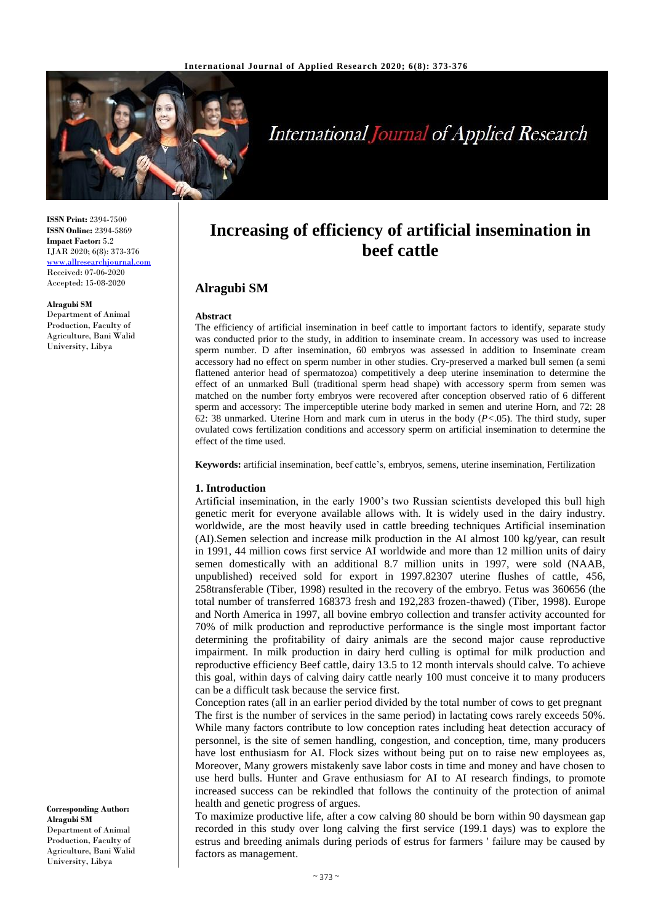

# **International Journal of Applied Research**

**ISSN Print:** 2394-7500 **ISSN Online:** 2394-5869 **Impact Factor:** 5.2 IJAR 2020; 6(8): 373-376 <www.allresearchjournal.com> Received: 07-06-2020 Accepted: 15-08-2020

#### **Alragubi SM**

Department of Animal Production, Faculty of Agriculture, Bani Walid University, Libya

**Increasing of efficiency of artificial insemination in beef cattle**

## **Alragubi SM**

#### **Abstract**

The efficiency of artificial insemination in beef cattle to important factors to identify, separate study was conducted prior to the study, in addition to inseminate cream. In accessory was used to increase sperm number. D after insemination, 60 embryos was assessed in addition to Inseminate cream accessory had no effect on sperm number in other studies. Cry-preserved a marked bull semen (a semi flattened anterior head of spermatozoa) competitively a deep uterine insemination to determine the effect of an unmarked Bull (traditional sperm head shape) with accessory sperm from semen was matched on the number forty embryos were recovered after conception observed ratio of 6 different sperm and accessory: The imperceptible uterine body marked in semen and uterine Horn, and 72: 28 62: 38 unmarked. Uterine Horn and mark cum in uterus in the body (*P<*.05). The third study, super ovulated cows fertilization conditions and accessory sperm on artificial insemination to determine the effect of the time used.

**Keywords:** artificial insemination, beef cattle's, embryos, semens, uterine insemination, Fertilization

#### **1. Introduction**

Artificial insemination, in the early 1900's two Russian scientists developed this bull high genetic merit for everyone available allows with. It is widely used in the dairy industry. worldwide, are the most heavily used in cattle breeding techniques Artificial insemination (AI).Semen selection and increase milk production in the AI almost 100 kg/year, can result in 1991, 44 million cows first service AI worldwide and more than 12 million units of dairy semen domestically with an additional 8.7 million units in 1997, were sold (NAAB, unpublished) received sold for export in 1997.82307 uterine flushes of cattle, 456, 258transferable (Tiber, 1998) resulted in the recovery of the embryo. Fetus was 360656 (the total number of transferred 168373 fresh and 192,283 frozen-thawed) (Tiber, 1998). Europe and North America in 1997, all bovine embryo collection and transfer activity accounted for 70% of milk production and reproductive performance is the single most important factor determining the profitability of dairy animals are the second major cause reproductive impairment. In milk production in dairy herd culling is optimal for milk production and reproductive efficiency Beef cattle, dairy 13.5 to 12 month intervals should calve. To achieve this goal, within days of calving dairy cattle nearly 100 must conceive it to many producers can be a difficult task because the service first.

Conception rates (all in an earlier period divided by the total number of cows to get pregnant The first is the number of services in the same period) in lactating cows rarely exceeds 50%. While many factors contribute to low conception rates including heat detection accuracy of personnel, is the site of semen handling, congestion, and conception, time, many producers have lost enthusiasm for AI. Flock sizes without being put on to raise new employees as, Moreover, Many growers mistakenly save labor costs in time and money and have chosen to use herd bulls. Hunter and Grave enthusiasm for AI to AI research findings, to promote increased success can be rekindled that follows the continuity of the protection of animal health and genetic progress of argues.

To maximize productive life, after a cow calving 80 should be born within 90 daysmean gap recorded in this study over long calving the first service (199.1 days) was to explore the estrus and breeding animals during periods of estrus for farmers ' failure may be caused by factors as management.

**Corresponding Author: Alragubi SM** Department of Animal Production, Faculty of Agriculture, Bani Walid University, Libya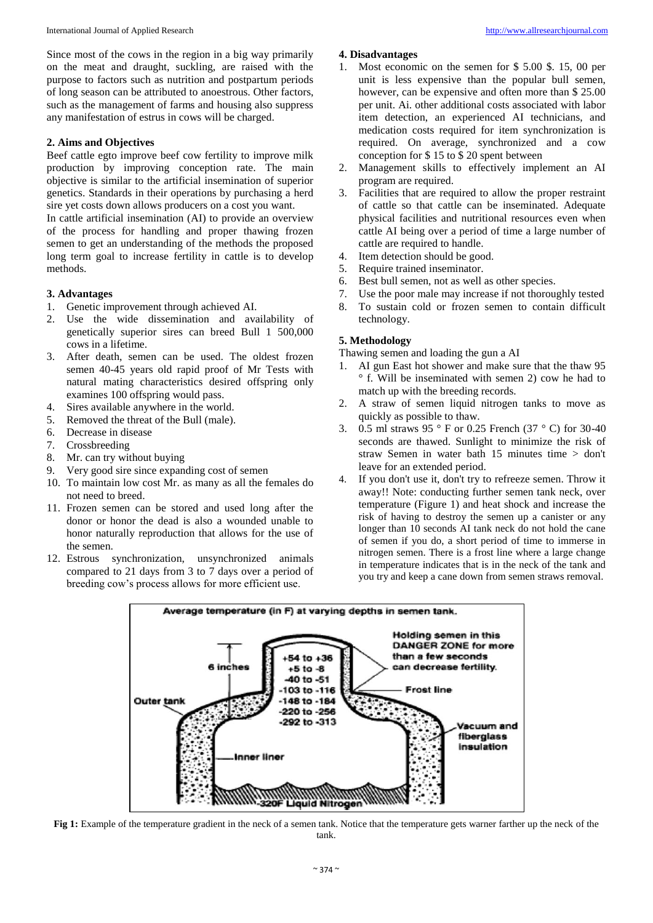Since most of the cows in the region in a big way primarily on the meat and draught, suckling, are raised with the purpose to factors such as nutrition and postpartum periods of long season can be attributed to anoestrous. Other factors, such as the management of farms and housing also suppress any manifestation of estrus in cows will be charged.

## **2. Aims and Objectives**

Beef cattle egto improve beef cow fertility to improve milk production by improving conception rate. The main objective is similar to the artificial insemination of superior genetics. Standards in their operations by purchasing a herd sire yet costs down allows producers on a cost you want.

In cattle artificial insemination (AI) to provide an overview of the process for handling and proper thawing frozen semen to get an understanding of the methods the proposed long term goal to increase fertility in cattle is to develop methods.

#### **3. Advantages**

- 1. Genetic improvement through achieved AI.
- 2. Use the wide dissemination and availability of genetically superior sires can breed Bull 1 500,000 cows in a lifetime.
- 3. After death, semen can be used. The oldest frozen semen 40-45 years old rapid proof of Mr Tests with natural mating characteristics desired offspring only examines 100 offspring would pass.
- 4. Sires available anywhere in the world.
- 5. Removed the threat of the Bull (male).
- 6. Decrease in disease
- 7. Crossbreeding
- 8. Mr. can try without buying
- 9. Very good sire since expanding cost of semen
- 10. To maintain low cost Mr. as many as all the females do not need to breed.
- 11. Frozen semen can be stored and used long after the donor or honor the dead is also a wounded unable to honor naturally reproduction that allows for the use of the semen.
- 12. Estrous synchronization, unsynchronized animals compared to 21 days from 3 to 7 days over a period of breeding cow's process allows for more efficient use.

#### **4. Disadvantages**

- 1. Most economic on the semen for \$ 5.00 \$. 15, 00 per unit is less expensive than the popular bull semen, however, can be expensive and often more than \$ 25.00 per unit. Ai. other additional costs associated with labor item detection, an experienced AI technicians, and medication costs required for item synchronization is required. On average, synchronized and a cow conception for \$ 15 to \$ 20 spent between
- 2. Management skills to effectively implement an AI program are required.
- 3. Facilities that are required to allow the proper restraint of cattle so that cattle can be inseminated. Adequate physical facilities and nutritional resources even when cattle AI being over a period of time a large number of cattle are required to handle.
- 4. Item detection should be good.
- 5. Require trained inseminator.
- 6. Best bull semen, not as well as other species.
- 7. Use the poor male may increase if not thoroughly tested
- 8. To sustain cold or frozen semen to contain difficult technology.

#### **5. Methodology**

Thawing semen and loading the gun a AI

- AI gun East hot shower and make sure that the thaw 95 ° f. Will be inseminated with semen 2) cow he had to match up with the breeding records.
- 2. A straw of semen liquid nitrogen tanks to move as quickly as possible to thaw.
- 3. 0.5 ml straws 95 ° F or 0.25 French (37 ° C) for 30-40 seconds are thawed. Sunlight to minimize the risk of straw Semen in water bath 15 minutes time > don't leave for an extended period.
- 4. If you don't use it, don't try to refreeze semen. Throw it away!! Note: conducting further semen tank neck, over temperature (Figure 1) and heat shock and increase the risk of having to destroy the semen up a canister or any longer than 10 seconds AI tank neck do not hold the cane of semen if you do, a short period of time to immerse in nitrogen semen. There is a frost line where a large change in temperature indicates that is in the neck of the tank and you try and keep a cane down from semen straws removal.



**Fig 1:** Example of the temperature gradient in the neck of a semen tank. Notice that the temperature gets warner farther up the neck of the tank.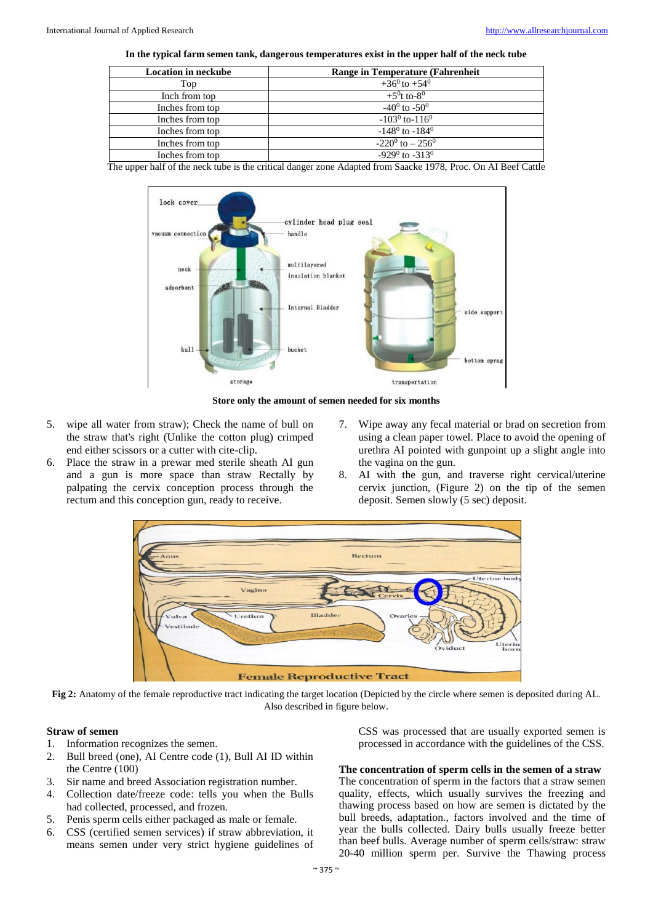┑

| In the typical farm sement ank, dangerous temperatures exist in the upper half of the neck tube |                                  |
|-------------------------------------------------------------------------------------------------|----------------------------------|
| <b>Location in neckube</b>                                                                      | Range in Temperature (Fahrenheit |
| Top                                                                                             | $+36^0$ to $+54^0$               |
|                                                                                                 |                                  |

| Top             | $+36^{\circ}$ to $+54^{\circ}$   |
|-----------------|----------------------------------|
| Inch from top   | $+5^{0}$ t to-8 <sup>0</sup>     |
| Inches from top | $-40^0$ to $-50^0$               |
| Inches from top | $-103^0$ to $-116^0$             |
| Inches from top | $-148^{\circ}$ to $-184^{\circ}$ |
| Inches from top | $-220^0$ to $-256^0$             |
| Inches from top | $-929^0$ to $-313^0$             |
|                 |                                  |

The upper half of the neck tube is the critical danger zone Adapted from Saacke 1978, Proc. On AI Beef Cattle



**Store only the amount of semen needed for six months**

- 5. wipe all water from straw); Check the name of bull on the straw that's right (Unlike the cotton plug) crimped end either scissors or a cutter with cite-clip.
- 6. Place the straw in a prewar med sterile sheath AI gun and a gun is more space than straw Rectally by palpating the cervix conception process through the rectum and this conception gun, ready to receive.
- 7. Wipe away any fecal material or brad on secretion from using a clean paper towel. Place to avoid the opening of urethra AI pointed with gunpoint up a slight angle into the vagina on the gun.
- 8. AI with the gun, and traverse right cervical/uterine cervix junction, (Figure 2) on the tip of the semen deposit. Semen slowly (5 sec) deposit.



**Fig 2:** Anatomy of the female reproductive tract indicating the target location (Depicted by the circle where semen is deposited during AL. Also described in figure below.

#### **Straw of semen**

- 1. Information recognizes the semen.
- 2. Bull breed (one), AI Centre code (1), Bull AI ID within the Centre (100)
- 3. Sir name and breed Association registration number.
- 4. Collection date/freeze code: tells you when the Bulls had collected, processed, and frozen.
- 5. Penis sperm cells either packaged as male or female.
- 6. CSS (certified semen services) if straw abbreviation, it means semen under very strict hygiene guidelines of

CSS was processed that are usually exported semen is processed in accordance with the guidelines of the CSS.

### **The concentration of sperm cells in the semen of a straw**

The concentration of sperm in the factors that a straw semen quality, effects, which usually survives the freezing and thawing process based on how are semen is dictated by the bull breeds, adaptation., factors involved and the time of year the bulls collected. Dairy bulls usually freeze better than beef bulls. Average number of sperm cells/straw: straw 20-40 million sperm per. Survive the Thawing process